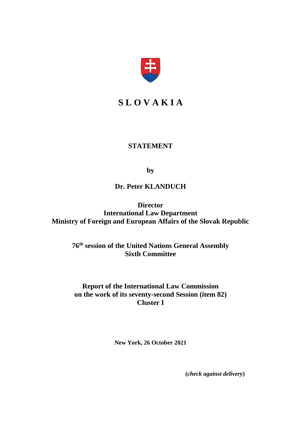

# **S L O V A K I A**

## **STATEMENT**

**by**

## **Dr. Peter KLANDUCH**

**Director International Law Department Ministry of Foreign and European Affairs of the Slovak Republic**

> **76th session of the United Nations General Assembly Sixth Committee**

**Report of the International Law Commission on the work of its seventy-second Session (item 82) Cluster I**

**New York, 26 October 2021**

**(***check against delivery***)**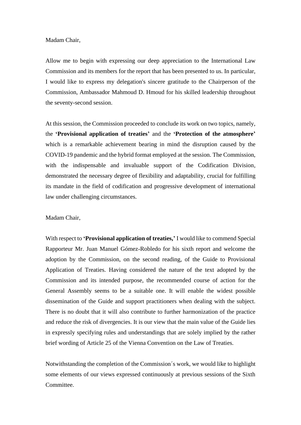#### Madam Chair,

Allow me to begin with expressing our deep appreciation to the International Law Commission and its members for the report that has been presented to us. In particular, I would like to express my delegation's sincere gratitude to the Chairperson of the Commission, Ambassador Mahmoud D. Hmoud for his skilled leadership throughout the seventy-second session.

At this session, the Commission proceeded to conclude its work on two topics, namely, the **'Provisional application of treaties'** and the **'Protection of the atmosphere'** which is a remarkable achievement bearing in mind the disruption caused by the COVID-19 pandemic and the hybrid format employed at the session. The Commission, with the indispensable and invaluable support of the Codification Division, demonstrated the necessary degree of flexibility and adaptability, crucial for fulfilling its mandate in the field of codification and progressive development of international law under challenging circumstances.

### Madam Chair,

With respect to **'Provisional application of treaties,'** I would like to commend Special Rapporteur Mr. Juan Manuel Gómez-Robledo for his sixth report and welcome the adoption by the Commission, on the second reading, of the Guide to Provisional Application of Treaties. Having considered the nature of the text adopted by the Commission and its intended purpose, the recommended course of action for the General Assembly seems to be a suitable one. It will enable the widest possible dissemination of the Guide and support practitioners when dealing with the subject. There is no doubt that it will also contribute to further harmonization of the practice and reduce the risk of divergencies. It is our view that the main value of the Guide lies in expressly specifying rules and understandings that are solely implied by the rather brief wording of Article 25 of the Vienna Convention on the Law of Treaties.

Notwithstanding the completion of the Commission´s work, we would like to highlight some elements of our views expressed continuously at previous sessions of the Sixth Committee.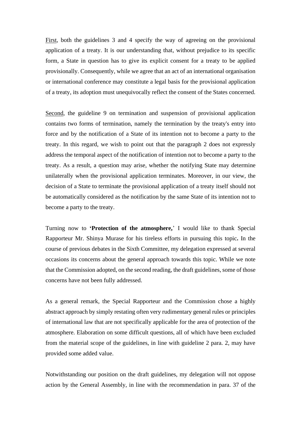First, both the guidelines 3 and 4 specify the way of agreeing on the provisional application of a treaty. It is our understanding that, without prejudice to its specific form, a State in question has to give its explicit consent for a treaty to be applied provisionally. Consequently, while we agree that an act of an international organisation or international conference may constitute a legal basis for the provisional application of a treaty, its adoption must unequivocally reflect the consent of the States concerned.

Second, the guideline 9 on termination and suspension of provisional application contains two forms of termination, namely the termination by the treaty's entry into force and by the notification of a State of its intention not to become a party to the treaty. In this regard, we wish to point out that the paragraph 2 does not expressly address the temporal aspect of the notification of intention not to become a party to the treaty. As a result, a question may arise, whether the notifying State may determine unilaterally when the provisional application terminates. Moreover, in our view, the decision of a State to terminate the provisional application of a treaty itself should not be automatically considered as the notification by the same State of its intention not to become a party to the treaty.

Turning now to **'Protection of the atmosphere,**' I would like to thank Special Rapporteur Mr. Shinya Murase for his tireless efforts in pursuing this topic**.** In the course of previous debates in the Sixth Committee, my delegation expressed at several occasions its concerns about the general approach towards this topic. While we note that the Commission adopted, on the second reading, the draft guidelines, some of those concerns have not been fully addressed.

As a general remark, the Special Rapporteur and the Commission chose a highly abstract approach by simply restating often very rudimentary general rules or principles of international law that are not specifically applicable for the area of protection of the atmosphere. Elaboration on some difficult questions, all of which have been excluded from the material scope of the guidelines, in line with guideline 2 para. 2, may have provided some added value.

Notwithstanding our position on the draft guidelines, my delegation will not oppose action by the General Assembly, in line with the recommendation in para. 37 of the